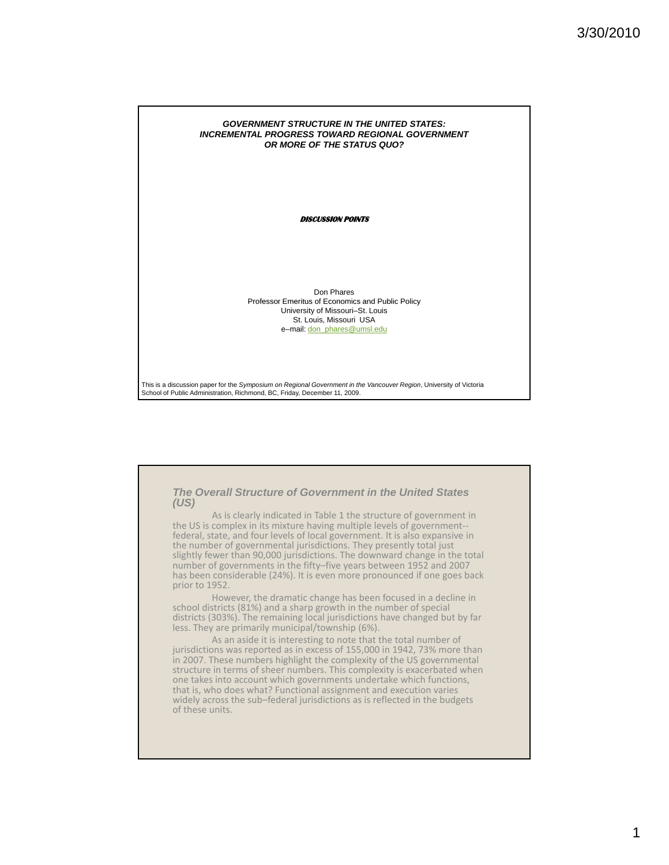## *GOVERNMENT STRUCTURE IN THE UNITED STATES: INCREMENTAL PROGRESS TOWARD REGIONAL GOVERNMENT OR MORE OF THE STATUS QUO?*

**DISCUSSION POINTS**

Don Phares Professor Emeritus of Economics and Public Policy University of Missouri–St. Louis St. Louis, Missouri USA e–mail: don\_phares@umsl.edu

This is a discussion paper for the *Symposium on Regional Government in the Vancouver Region*, University of Victoria<br>School of Public Administration, Richmond, BC, Friday, December 11, 2009.

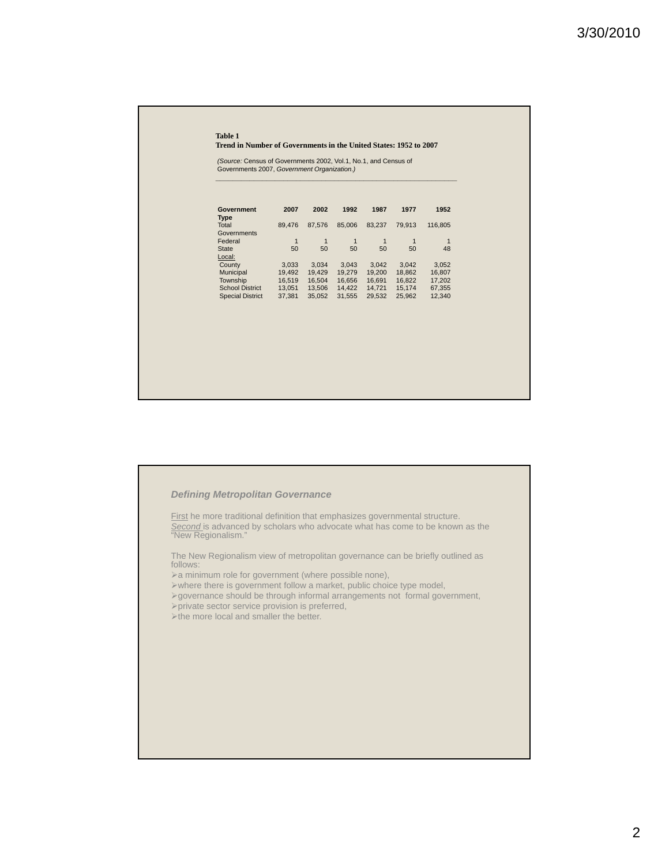#### **Table 1**

**Trend in Number of Governments in the United States: 1952 to 2007**

**\_\_\_\_\_\_\_\_\_\_\_\_\_\_\_\_\_\_\_\_\_\_\_\_\_\_\_\_\_\_\_\_\_\_\_\_\_\_\_\_\_\_\_\_\_\_\_\_\_\_\_\_\_\_\_\_\_**

*(Source:* Census of Governments 2002, Vol.1, No.1, and Census of Governments 2007, *Government Organization.)*

| <b>Government</b><br>Type | 2007   | 2002   | 1992   | 1987   | 1977         | 1952    |  |
|---------------------------|--------|--------|--------|--------|--------------|---------|--|
| Total                     | 89,476 | 87,576 | 85,006 | 83.237 | 79.913       | 116,805 |  |
| Governments               |        |        |        |        |              |         |  |
| Federal                   | 1      | 1      | 1      | 1      | $\mathbf{1}$ | 1       |  |
| <b>State</b>              | 50     | 50     | 50     | 50     | 50           | 48      |  |
| Local:                    |        |        |        |        |              |         |  |
| County                    | 3,033  | 3.034  | 3.043  | 3.042  | 3.042        | 3,052   |  |
| Municipal                 | 19.492 | 19.429 | 19.279 | 19.200 | 18.862       | 16,807  |  |
| Township                  | 16,519 | 16,504 | 16,656 | 16,691 | 16,822       | 17,202  |  |
| <b>School District</b>    | 13.051 | 13,506 | 14.422 | 14.721 | 15.174       | 67,355  |  |
| <b>Special District</b>   | 37.381 | 35.052 | 31,555 | 29.532 | 25.962       | 12,340  |  |



First he more traditional definition that emphasizes governmental structure. Second is advanced by scholars who advocate what has come to be known as the "New Regionalism."

The New Regionalism view of metropolitan governance can be briefly outlined as follows:

- $\triangleright$ a minimum role for government (where possible none),
- where there is government follow a market, public choice type model,
- governance should be through informal arrangements not formal government,
- $\rho$ private sector service provision is preferred,
- >the more local and smaller the better.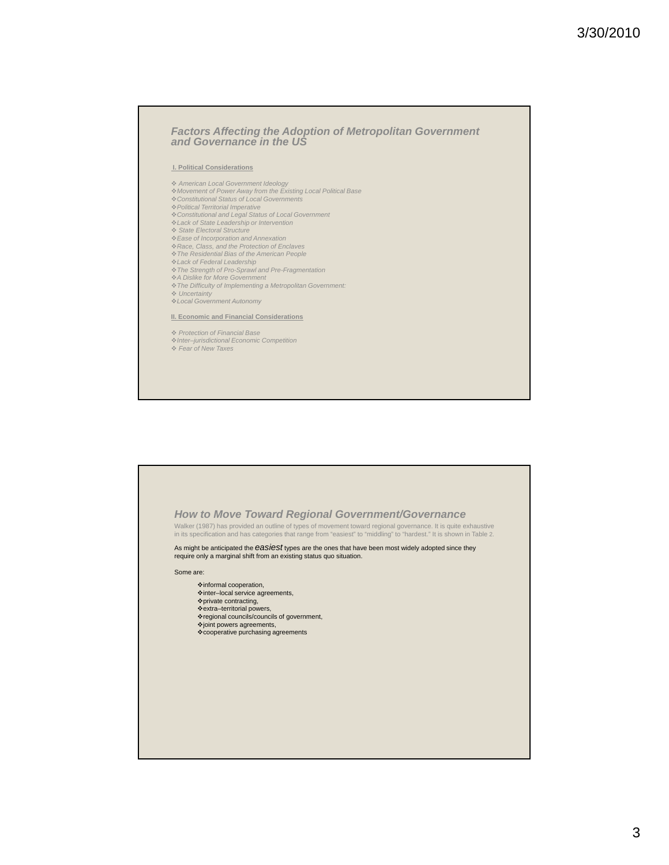# *Factors Affecting the Adoption of Metropolitan Government and Governance in the US*

### **I. Political Considerations**

- *American Local Government Ideology Movement of Power Away from the Existing Local Political Base*
- *Constitutional Status of Local Governments*
- *Political Territorial Imperative*
- *Constitutional and Legal Status of Local Government Lack of State Leadership or Intervention*
- *State Electoral Structure*
- *Ease of Incorporation and Annexation*
- 
- *Race, Class, and the Protection of Enclaves The Residential Bias of the American People*
- *Lack of Federal Leadership*
- *The Strength of Pro-Sprawl and Pre-Fragmentation*
- *A Dislike for More Government*
- *The Difficulty of Implementing a Metropolitan Government:*
- *Uncertainty Local Government Autonomy Local Government*

#### **II. Economic and Financial Considerations**

*Protection of Financial Base*

*Inter–jurisdictional Economic Competition Fear of New Taxes*

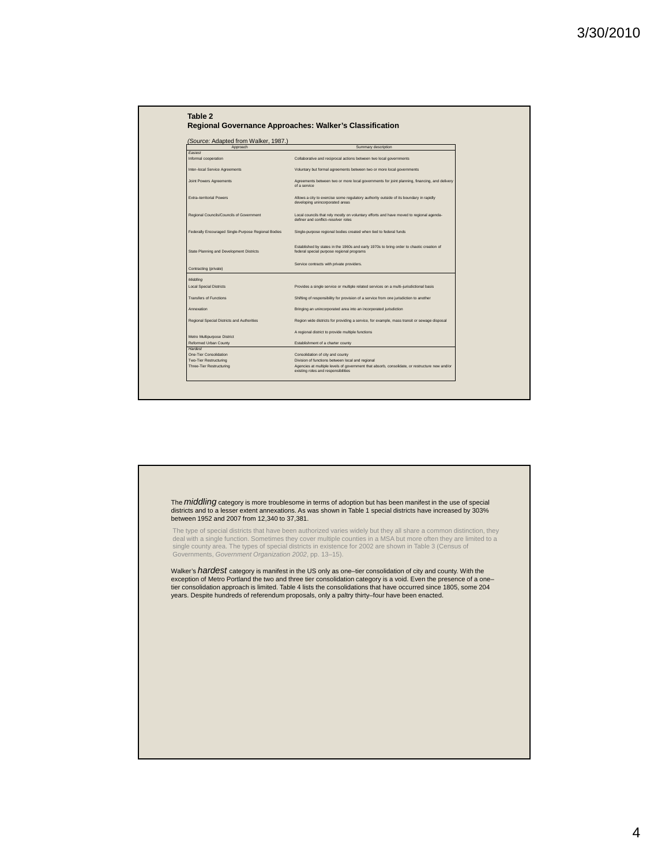

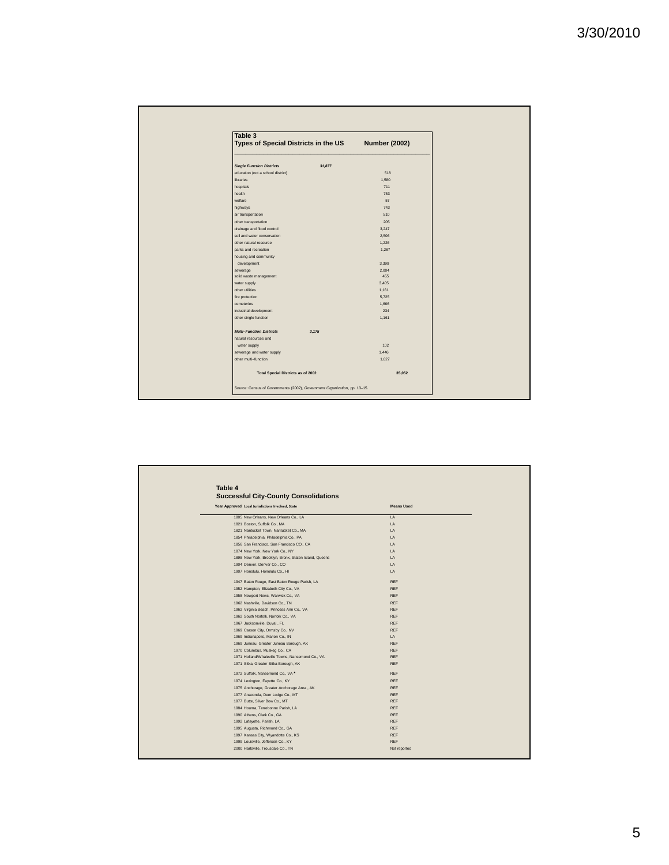| Table 3<br>Types of Special Districts in the US | <b>Number (2002)</b> |
|-------------------------------------------------|----------------------|
| <b>Single Function Districts</b><br>31,877      |                      |
| education (not a school district)               | 518                  |
| libraries                                       | 1,580                |
| hospitals                                       | 711                  |
| health                                          | 753                  |
| welfare                                         | 57                   |
| highways                                        | 743                  |
| air transportation                              | 510                  |
| other transportation                            | 205                  |
| drainage and flood control                      | 3,247                |
| soil and water conservation                     | 2,506                |
| other natural resource                          | 1,226                |
| parks and recreation                            | 1,287                |
| housing and community                           |                      |
| development                                     | 3,399                |
| sewerage                                        | 2,004                |
| solid waste management                          | 455                  |
| water supply                                    | 3,405                |
| other utilities                                 | 1,161                |
| fire protection                                 | 5,725                |
| cemeteries                                      | 1,666                |
| industrial development                          | 234                  |
| other single function                           | 1,161                |
| <b>Multi-Function Districts</b><br>3,175        |                      |
| natural resources and                           |                      |
| water supply                                    | 102                  |
| sewerage and water supply                       | 1,446                |
| other multi-function                            | 1,627                |
| <b>Total Special Districts as of 2002</b>       | 35,052               |

| Table 4                                               |                   |  |  |
|-------------------------------------------------------|-------------------|--|--|
| <b>Successful City-County Consolidations</b>          |                   |  |  |
| Year Approved Local Jurisdictions Involved, State     | <b>Means Used</b> |  |  |
| 1805 New Orleans, New Orleans Co., LA                 | LA                |  |  |
| 1821 Boston, Suffolk Co., MA                          | LA                |  |  |
| 1821 Nantucket Town, Nantucket Co., MA                | IA.               |  |  |
| 1854 Philadelphia, Philadelphia Co., PA               | LA                |  |  |
| 1856 San Francisco, San Francisco CO., CA             | LA                |  |  |
| 1874 New York, New York Co., NY                       | LA                |  |  |
| 1898 New York, Brooklyn, Bronx, Staten Island, Queens | LA                |  |  |
| 1904 Denver, Denver Co., CO                           | IA.               |  |  |
| 1907 Honolulu, Honolulu Co., HI                       | LA                |  |  |
| 1947 Baton Rouge, East Baton Rouge Parish, LA         | <b>REF</b>        |  |  |
| 1952 Hampton, Elizabeth City Co., VA                  | <b>REF</b>        |  |  |
| 1958 Newport News, Warwick Co., VA                    | <b>REF</b>        |  |  |
| 1962 Nashville, Davidson Co., TN                      | <b>REF</b>        |  |  |
| 1962 Virginia Beach, Princess Ann Co., VA             | <b>REF</b>        |  |  |
| 1962 South Norfolk, Norfolk Co., VA                   | <b>REF</b>        |  |  |
| 1967 Jacksonville, Duval, FL                          | <b>RFF</b>        |  |  |
| 1969 Carson City, Ormsby Co., NV                      | <b>REF</b>        |  |  |
| 1969 Indianapolis, Marion Co., IN                     | LA                |  |  |
| 1969 Juneau, Greater Juneau Borough, AK               | <b>REF</b>        |  |  |
| 1970 Columbus, Muskeg Co., CA                         | <b>REF</b>        |  |  |
| 1971 Holland/Whaleville Towns, Nansemond Co., VA      | <b>REF</b>        |  |  |
| 1971 Sitka, Greater Sitka Borough, AK                 | <b>REF</b>        |  |  |
| 1972 Suffolk, Nansemond Co., VA*                      | <b>REF</b>        |  |  |
| 1974 Lexington, Fayette Co., KY                       | <b>REF</b>        |  |  |
| 1975 Anchorage, Greater Anchorage Area, AK            | <b>REF</b>        |  |  |
| 1977 Anaconda, Deer Lodge Co., MT                     | <b>REF</b>        |  |  |
| 1977 Butte, Silver Bow Co., MT                        | <b>REF</b>        |  |  |
| 1984 Houma, Terrebonne Parish, LA                     | <b>REF</b>        |  |  |
| 1990 Athens, Clark Co., GA                            | <b>REF</b>        |  |  |
| 1992 Lafayette, Parish, LA                            | <b>REF</b>        |  |  |
| 1995 Augusta, Richmond Co., GA                        | <b>REF</b>        |  |  |
| 1997 Kansas City, Wyandotte Co., KS                   | <b>REF</b>        |  |  |
| 1999 Louisville, Jefferson Co., KY                    | <b>REF</b>        |  |  |
| 2000 Hartsville, Trousdale Co., TN                    | Not reported      |  |  |